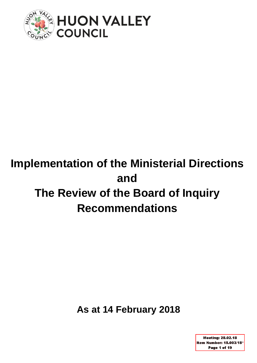

# **Implementation of the Ministerial Directions and The Review of the Board of Inquiry Recommendations**

**As at 14 February 2018** 

**Meeting: 28.02.18** Item Number: 15.003/18\* Page 1 of 19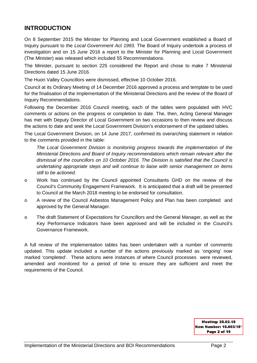### **INTRODUCTION**

On 8 September 2015 the Minister for Planning and Local Government established a Board of Inquiry pursuant to the *Local Government Act 1993.* The Board of Inquiry undertook a process of investigation and on 15 June 2016 a report to the Minister for Planning and Local Government (The Minister) was released which included 55 Recommendations.

The Minister, pursuant to section 225 considered the Report and chose to make 7 Ministerial Directions dated 15 June 2016.

The Huon Valley Councillors were dismissed, effective 10 October 2016.

Council at its Ordinary Meeting of 14 December 2016 approved a process and template to be used for the finalisation of the Implementation of the Ministerial Directions and the review of the Board of Inquiry Recommendations.

Following the December 2016 Council meeting, each of the tables were populated with HVC comments or actions on the progress or completion to date. The, then, Acting General Manager has met with Deputy Director of Local Government on two occasions to then review and discuss the actions to date and seek the Local Government Division's endorsement of the updated tables.

The Local Government Division, on 14 June 2017, confirmed its overarching statement in relation to the comments provided in the table:

*The Local Government Division is monitoring progress towards the implementation of the Ministerial Directions and Board of Inquiry recommendations which remain relevant after the dismissal of the councillors on 10 October 2016. The Division is satisfied that the Council is undertaking appropriate steps and will continue to liaise with senior management on items still to be actioned.* 

- o Work has continued by the Council appointed Consultants GHD on the review of the Council's Community Engagement Framework. It is anticipated that a draft will be presented to Council at the March 2018 meeting to be endorsed for consultation.
- o A review of the Council Asbestos Management Policy and Plan has been completed and approved by the General Manager.
- o The draft Statement of Expectations for Councillors and the General Manager, as well as the Key Performance Indicators have been approved and will be included in the Council's Governance Framework.

A full review of the implementation tables has been undertaken with a number of comments updated. This update included a number of the actions previously marked as 'ongoing' now marked 'completed'. These actions were instances of where Council processes were reviewed, amended and monitored for a period of time to ensure they are sufficient and meet the requirements of the Council.

> **Meeting: 28.02.18** Item Number: 15.003/18\* Page 2 of 19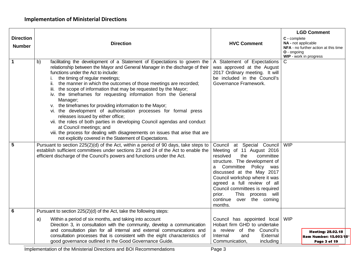| <b>Direction</b><br><b>Number</b> | <b>Direction</b>                                                                                                                                                                                                                                                                                                                                                                                                                                                                                                                                                                                                                                                                                                                                                                                                                                                                                                                                                                                                                                                                                                                                           | <b>HVC Comment</b>                                                                                                                                                                                                                                                                                                                                                                                                                                                                       | <b>LGD Comment</b><br>C - complete<br>NA - not applicable<br>NFA - no further action at this time<br>O - ongoing<br>WIP - work in progress |
|-----------------------------------|------------------------------------------------------------------------------------------------------------------------------------------------------------------------------------------------------------------------------------------------------------------------------------------------------------------------------------------------------------------------------------------------------------------------------------------------------------------------------------------------------------------------------------------------------------------------------------------------------------------------------------------------------------------------------------------------------------------------------------------------------------------------------------------------------------------------------------------------------------------------------------------------------------------------------------------------------------------------------------------------------------------------------------------------------------------------------------------------------------------------------------------------------------|------------------------------------------------------------------------------------------------------------------------------------------------------------------------------------------------------------------------------------------------------------------------------------------------------------------------------------------------------------------------------------------------------------------------------------------------------------------------------------------|--------------------------------------------------------------------------------------------------------------------------------------------|
| $\overline{1}$<br>$5\phantom{1}$  | facilitating the development of a Statement of Expectations to govern the<br>b)<br>relationship between the Mayor and General Manager in the discharge of their<br>functions under the Act to include:<br>the timing of regular meetings;<br>the manner in which the outcomes of those meetings are recorded;<br>II.<br>iii. the scope of information that may be requested by the Mayor;<br>iv. the timeframes for requesting information from the General<br>Manager;<br>v. the timeframes for providing information to the Mayor;<br>vi. the development of authorisation processes for formal press<br>releases issued by either office;<br>vii. the roles of both parties in developing Council agendas and conduct<br>at Council meetings; and<br>viii. the process for dealing with disagreements on issues that arise that are<br>not explicitly covered in the Statement of Expectations.<br>Pursuant to section 225(2)(d) of the Act, within a period of 90 days, take steps to<br>establish sufficient committees under sections 23 and 24 of the Act to enable the<br>efficient discharge of the Council's powers and functions under the Act. | A Statement of Expectations<br>was approved at the August<br>2017 Ordinary meeting. It will<br>be included in the Council's<br>Governance Framework.<br>Council at Special Council<br>Meeting of 11 August 2016<br>resolved<br>committee<br>the<br>structure. The development of<br>Committee Policy<br>was<br>a<br>discussed at the May 2017<br>Council workshop where it was<br>agreed a full review of all<br>Council committees is required<br><b>This</b><br>process will<br>prior. | C<br><b>WIP</b>                                                                                                                            |
| $6\phantom{1}6$                   | Pursuant to section 225(2)(d) of the Act, take the following steps:                                                                                                                                                                                                                                                                                                                                                                                                                                                                                                                                                                                                                                                                                                                                                                                                                                                                                                                                                                                                                                                                                        | over the coming<br>continue<br>months.                                                                                                                                                                                                                                                                                                                                                                                                                                                   |                                                                                                                                            |
|                                   | Within a period of six months, and taking into account<br>a)<br>Direction 3, in consultation with the community, develop a communication<br>and consultation plan for all internal and external communications and                                                                                                                                                                                                                                                                                                                                                                                                                                                                                                                                                                                                                                                                                                                                                                                                                                                                                                                                         | Council has appointed local<br>Hobart firm GHD to undertake<br>a review of the Council's                                                                                                                                                                                                                                                                                                                                                                                                 | <b>WIP</b>                                                                                                                                 |
|                                   | consultation processes that is consistent with the eight characteristics of<br>good governance outlined in the Good Governance Guide.                                                                                                                                                                                                                                                                                                                                                                                                                                                                                                                                                                                                                                                                                                                                                                                                                                                                                                                                                                                                                      | Internal<br>External<br>and<br>Communication,<br>including                                                                                                                                                                                                                                                                                                                                                                                                                               | <b>Meeting: 28.02.18</b><br>Item Number: 15.003/18<br>Page 3 of 19                                                                         |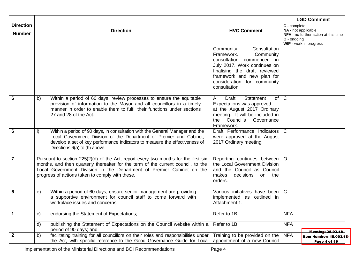| <b>Direction</b><br><b>Number</b> |              | <b>Direction</b>                                                                                                                                                                                                                                                                                     | <b>HVC Comment</b>                                                                                                                                                                                                                  | C - complete<br>O - ongoing | <b>LGD Comment</b><br>NA - not applicable<br>NFA - no further action at this time<br>WIP - work in progress |
|-----------------------------------|--------------|------------------------------------------------------------------------------------------------------------------------------------------------------------------------------------------------------------------------------------------------------------------------------------------------------|-------------------------------------------------------------------------------------------------------------------------------------------------------------------------------------------------------------------------------------|-----------------------------|-------------------------------------------------------------------------------------------------------------|
|                                   |              |                                                                                                                                                                                                                                                                                                      | Consultation<br>Community<br>Framework.<br>Community<br>consultation<br>commenced in<br>July 2017. Work continues on<br>finalising the draft reviewed<br>framework and new plan for<br>consideration for community<br>consultation. |                             |                                                                                                             |
| 6                                 | b)           | Within a period of 60 days, review processes to ensure the equitable<br>provision of information to the Mayor and all councillors in a timely<br>manner in order to enable them to fulfil their functions under sections<br>27 and 28 of the Act.                                                    | of $ C $<br>Draft<br>Statement<br>A<br>Expectations was approved<br>at the August 2017 Ordinary<br>meeting. It will be included in<br>the Council's Governance<br>Framework.                                                        |                             |                                                                                                             |
| $6\phantom{1}6$                   | i)           | Within a period of 90 days, in consultation with the General Manager and the<br>Local Government Division of the Department of Premier and Cabinet,<br>develop a set of key performance indicators to measure the effectiveness of<br>Directions 6(a) to (h) above.                                  | Draft Performance Indicators<br>were approved at the August<br>2017 Ordinary meeting.                                                                                                                                               | $\mathsf{C}$                |                                                                                                             |
| $\overline{7}$                    |              | Pursuant to section 225(2)(d) of the Act, report every two months for the first six<br>months, and then quarterly thereafter for the term of the current council, to the<br>Local Government Division in the Department of Premier Cabinet on the<br>progress of actions taken to comply with these. | Reporting continues between   O<br>the Local Government Division<br>and the Council as Council<br>makes<br>decisions<br>on the<br>orders.                                                                                           |                             |                                                                                                             |
| 6                                 | e)           | Within a period of 60 days, ensure senior management are providing<br>a supportive environment for council staff to come forward with<br>workplace issues and concerns.                                                                                                                              | Various initiatives have been<br>implemented as outlined in<br>Attachment 1.                                                                                                                                                        | $\mathsf{C}$                |                                                                                                             |
| $\mathbf{1}$                      | C)           | endorsing the Statement of Expectations;                                                                                                                                                                                                                                                             | Refer to 1B                                                                                                                                                                                                                         | <b>NFA</b>                  |                                                                                                             |
|                                   | $\mathsf{d}$ | publishing the Statement of Expectations on the Council website within a<br>period of 90 days; and                                                                                                                                                                                                   | Refer to 1B                                                                                                                                                                                                                         | <b>NFA</b>                  | <b>Meeting: 28.02.18</b>                                                                                    |
| $\overline{2}$                    | b)           | facilitating training for all councillors on their roles and responsibilities under<br>the Act, with specific reference to the Good Governance Guide for Local                                                                                                                                       | Training to be provided on the<br>appointment of a new Council                                                                                                                                                                      | <b>NFA</b>                  | Item Number: 15.003/18<br>Page 4 of 19                                                                      |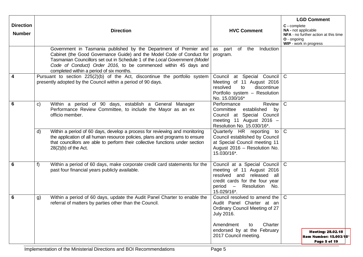| <b>Direction</b><br><b>Number</b> | <b>Direction</b>                                                                                                                                                                                                                                                                                                                        | <b>HVC Comment</b>                                                                                                                                                               | <b>LGD Comment</b><br>C - complete<br>NA - not applicable<br>NFA - no further action at this time<br>O - ongoing<br>WIP - work in progress |
|-----------------------------------|-----------------------------------------------------------------------------------------------------------------------------------------------------------------------------------------------------------------------------------------------------------------------------------------------------------------------------------------|----------------------------------------------------------------------------------------------------------------------------------------------------------------------------------|--------------------------------------------------------------------------------------------------------------------------------------------|
|                                   | Government in Tasmania published by the Department of Premier and<br>Cabinet (the Good Governance Guide) and the Model Code of Conduct for<br>Tasmanian Councillors set out in Schedule 1 of the Local Government (Model<br>Code of Conduct) Order 2016, to be commenced within 45 days and<br>completed within a period of six months. | as part of the Induction<br>program.                                                                                                                                             |                                                                                                                                            |
| $\overline{4}$                    | Pursuant to section 225(2)(b) of the Act, discontinue the portfolio system<br>presently adopted by the Council within a period of 90 days.                                                                                                                                                                                              | Council at Special Council<br>Meeting of 11 August 2016<br>resolved<br>discontinue<br>to<br>Portfolio system - Resolution<br>No. 15.030/16*                                      | $\mathbf C$                                                                                                                                |
| $6\phantom{1}6$                   | Within a period of 90 days, establish a General Manager<br>C)<br>Performance Review Committee, to include the Mayor as an ex<br>officio member.                                                                                                                                                                                         | Performance<br>Review<br>Committee<br>established<br>by<br>Council at Special Council<br>meeting 11 August 2016 -<br>Resolution No. 15.030/16*.                                  | $\mathsf{C}$                                                                                                                               |
|                                   | Within a period of 60 days, develop a process for reviewing and monitoring<br>d)<br>the application of all human resource policies, plans and programs to ensure<br>that councillors are able to perform their collective functions under section<br>$28(2)(b)$ of the Act.                                                             | Quarterly HR reporting<br>to<br>Council established by Council<br>at Special Council meeting 11<br>August 2016 - Resolution No.<br>15.030/16*.                                   | $\mathsf{C}$                                                                                                                               |
| $6\phantom{1}6$                   | Within a period of 60 days, make corporate credit card statements for the<br>f)<br>past four financial years publicly available.                                                                                                                                                                                                        | Council at a Special Council<br>meeting of 11 August 2016<br>resolved and released all<br>credit cards for the four year<br>period<br>Resolution<br>$\sim$<br>No.<br>15.029/16*. | $\mathsf{C}$                                                                                                                               |
| $6\phantom{1}6$                   | Within a period of 60 days, update the Audit Panel Charter to enable the<br>g)<br>referral of matters by parties other than the Council.                                                                                                                                                                                                | Council resolved to amend the<br>Audit Panel Charter at an<br>Ordinary Council Meeting of 27<br><b>July 2016.</b>                                                                | $\mathbf C$                                                                                                                                |
|                                   |                                                                                                                                                                                                                                                                                                                                         | Charter<br>Amendment<br>to<br>endorsed by at the February<br>2017 Council meeting.                                                                                               | <b>Meeting: 28.02.18</b><br>Item Number: 15.003/18<br>Page 5 of 19                                                                         |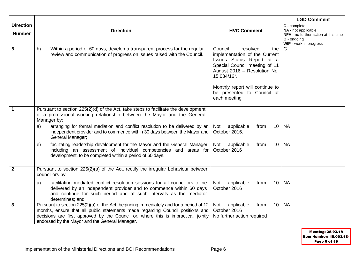| <b>Direction</b><br><b>Number</b> | <b>Direction</b>                                                                                                                                                                                                                                                                                                                                                                                                                                                                                                                                                                         | <b>HVC Comment</b>                                                                                                                                                                                                                                        | <b>LGD Comment</b><br>C - complete<br>NA - not applicable<br>NFA - no further action at this time<br>O - ongoing<br>WIP - work in progress |
|-----------------------------------|------------------------------------------------------------------------------------------------------------------------------------------------------------------------------------------------------------------------------------------------------------------------------------------------------------------------------------------------------------------------------------------------------------------------------------------------------------------------------------------------------------------------------------------------------------------------------------------|-----------------------------------------------------------------------------------------------------------------------------------------------------------------------------------------------------------------------------------------------------------|--------------------------------------------------------------------------------------------------------------------------------------------|
| 6                                 | Within a period of 60 days, develop a transparent process for the regular<br>h)<br>review and communication of progress on issues raised with the Council.                                                                                                                                                                                                                                                                                                                                                                                                                               | Council<br>resolved<br>the<br>implementation of the Current<br>Issues Status Report at a<br>Special Council meeting of 11<br>August 2016 - Resolution No.<br>15.034/16*.<br>Monthly report will continue to<br>be presented to Council at<br>each meeting | $\mathsf{C}$                                                                                                                               |
| $\mathbf 1$                       | Pursuant to section 225(2)(d) of the Act, take steps to facilitate the development<br>of a professional working relationship between the Mayor and the General<br>Manager by:<br>arranging for formal mediation and conflict resolution to be delivered by an<br>a)<br>independent provider and to commence within 30 days between the Mayor and<br>General Manager;<br>facilitating leadership development for the Mayor and the General Manager,<br>e)<br>including an assessment of individual competencies and areas for<br>development, to be completed within a period of 60 days. | applicable<br>10<br>Not<br>from<br>October 2016.<br>applicable<br>10<br>Not<br>from<br>October 2016                                                                                                                                                       | <b>NA</b><br><b>NA</b>                                                                                                                     |
| $\overline{2}$                    | Pursuant to section 225(2)(a) of the Act, rectify the irregular behaviour between<br>councillors by:<br>facilitating mediated conflict resolution sessions for all councillors to be<br>a)<br>delivered by an independent provider and to commence within 60 days<br>and continue for such period and at such intervals as the mediator<br>determines; and                                                                                                                                                                                                                               | applicable<br>10<br>Not<br>from<br>October 2016                                                                                                                                                                                                           | <b>NA</b>                                                                                                                                  |
| $\mathbf{3}$                      | Pursuant to section 225(2)(a) of the Act, beginning immediately and for a period of 12<br>months, ensure that all public statements made regarding Council positions and<br>decisions are first approved by the Council or, where this is impractical, jointly<br>endorsed by the Mayor and the General Manager.                                                                                                                                                                                                                                                                         | 10<br>applicable<br>from<br>Not<br>October 2016<br>No further action required                                                                                                                                                                             | <b>NA</b>                                                                                                                                  |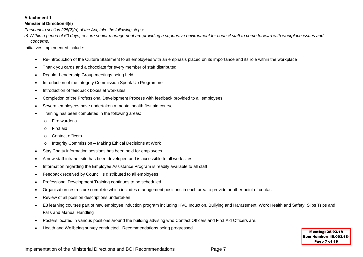#### **Attachment 1**

#### **Ministerial Direction 6(e)**

*Pursuant to section 225(2)(d) of the Act, take the following steps:* 

*e) Within a period of 60 days, ensure senior management are providing a supportive environment for council staff to come forward with workplace issues and concerns.* 

Initiatives implemented include:

- Re-introduction of the Culture Statement to all employees with an emphasis placed on its importance and its role within the workplace
- Thank you cards and a chocolate for every member of staff distributed
- Regular Leadership Group meetings being held
- Introduction of the Integrity Commission Speak Up Programme
- Introduction of feedback boxes at worksites
- Completion of the Professional Development Process with feedback provided to all employees
- Several employees have undertaken a mental health first aid course
- Training has been completed in the following areas:
	- o Fire wardens
	- o First aid
	- o Contact officers
	- o Integrity Commission Making Ethical Decisions at Work
- Stay Chatty information sessions has been held for employees
- A new staff intranet site has been developed and is accessible to all work sites
- Information regarding the Employee Assistance Program is readily available to all staff
- Feedback received by Council is distributed to all employees
- Professional Development Training continues to be scheduled
- Organisation restructure complete which includes management positions in each area to provide another point of contact.
- Review of all position descriptions undertaken
- E3 learning courses part of new employee induction program including HVC Induction, Bullying and Harassment, Work Health and Safety, Slips Trips and Falls and Manual Handling
- Posters located in various positions around the building advising who Contact Officers and First Aid Officers are.
- Health and Wellbeing survey conducted. Recommendations being progressed.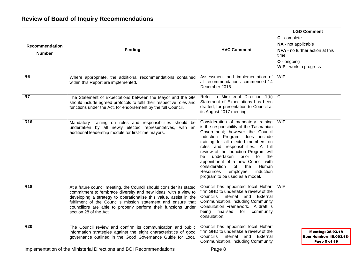## **Review of Board of Inquiry Recommendations**

| <b>Recommendation</b><br><b>Number</b> | <b>Finding</b>                                                                                                                                                                                                                                                                                                                                                          | <b>HVC Comment</b>                                                                                                                                                                                                                                                                                                                                                                                                                                                    | <b>LGD Comment</b><br>C - complete<br>NA - not applicable<br><b>NFA</b> - no further action at this<br>time<br>O - ongoing<br>WIP - work in progress |
|----------------------------------------|-------------------------------------------------------------------------------------------------------------------------------------------------------------------------------------------------------------------------------------------------------------------------------------------------------------------------------------------------------------------------|-----------------------------------------------------------------------------------------------------------------------------------------------------------------------------------------------------------------------------------------------------------------------------------------------------------------------------------------------------------------------------------------------------------------------------------------------------------------------|------------------------------------------------------------------------------------------------------------------------------------------------------|
| R6                                     | Where appropriate, the additional recommendations contained<br>within this Report are implemented.                                                                                                                                                                                                                                                                      | Assessment and implementation of<br>all recommendations commenced 14<br>December 2016.                                                                                                                                                                                                                                                                                                                                                                                | WIP                                                                                                                                                  |
| R7                                     | The Statement of Expectations between the Mayor and the GM<br>should include agreed protocols to fulfil their respective roles and<br>functions under the Act, for endorsement by the full Council.                                                                                                                                                                     | Refer to Ministerial Direction 1(b)<br>Statement of Expectations has been<br>drafted, for presentation to Council at<br>its August 2017 meeting.                                                                                                                                                                                                                                                                                                                      | $\overline{C}$                                                                                                                                       |
| <b>R16</b>                             | Mandatory training on roles and responsibilities should be<br>undertaken by all newly elected representatives, with an<br>additional leadership module for first-time mayors.                                                                                                                                                                                           | Consideration of mandatory training<br>is the responsibility of the Tasmanian<br>Government; however the Council<br>Induction Program does include<br>training for all elected members on<br>roles and responsibilities. A full<br>review of the Induction Program will<br>undertaken<br>prior<br>to<br>the<br>be<br>appointment of a new Council with<br>consideration<br>of<br>the<br>Human<br>Resources<br>employee<br>induction<br>program to be used as a model. | <b>WIP</b>                                                                                                                                           |
| <b>R18</b>                             | At a future council meeting, the Council should consider its stated<br>commitment to 'embrace diversity and new ideas' with a view to<br>developing a strategy to operationalise this value, assist in the<br>fulfilment of the Council's mission statement and ensure that<br>councillors are able to properly perform their functions under<br>section 28 of the Act. | Council has appointed local Hobart<br>firm GHD to undertake a review of the<br>Council's Internal and External<br>Communication, including Community<br>Consultation Framework. A draft is<br>being finalised<br>for<br>community<br>consultation.                                                                                                                                                                                                                    | <b>WIP</b>                                                                                                                                           |
| <b>R20</b>                             | The Council review and confirm its communication and public<br>information strategies against the eight characteristics of good<br>governance outlined in the Good Governance Guide for Local                                                                                                                                                                           | Council has appointed local Hobart<br>firm GHD to undertake a review of the<br>Council's Internal and External<br>Communication, including Community                                                                                                                                                                                                                                                                                                                  | <b>Meeting: 28.02.18</b><br>Item Number: 15.003/18*<br>Page 8 of 19                                                                                  |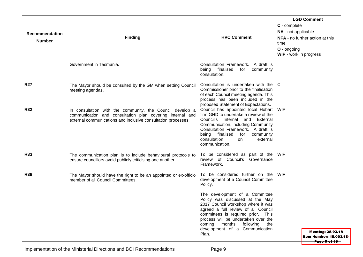| Recommendation<br><b>Number</b> | <b>Finding</b>                                                                                                                                                                          | <b>HVC Comment</b>                                                                                                                                                                                                                                                                                                                                                                              | <b>LGD Comment</b><br>C - complete<br>NA - not applicable<br>NFA - no further action at this<br>time<br>O - ongoing<br>WIP - work in progress |
|---------------------------------|-----------------------------------------------------------------------------------------------------------------------------------------------------------------------------------------|-------------------------------------------------------------------------------------------------------------------------------------------------------------------------------------------------------------------------------------------------------------------------------------------------------------------------------------------------------------------------------------------------|-----------------------------------------------------------------------------------------------------------------------------------------------|
|                                 | Government in Tasmania.                                                                                                                                                                 | Consultation Framework. A draft is<br>being finalised<br>for<br>community<br>consultation.                                                                                                                                                                                                                                                                                                      |                                                                                                                                               |
| <b>R27</b>                      | The Mayor should be consulted by the GM when setting Council<br>meeting agendas.                                                                                                        | Consultation is undertaken with the<br>Commissioner prior to the finalisation<br>of each Council meeting agenda. This<br>process has been included in the<br>proposed Statement of Expectations.                                                                                                                                                                                                | l C                                                                                                                                           |
| <b>R32</b>                      | In consultation with the community, the Council develop a<br>communication and consultation plan covering internal and<br>external communications and inclusive consultation processes. | Council has appointed local Hobart  <br>firm GHD to undertake a review of the<br>Council's Internal and External<br>Communication, including Community<br>Consultation Framework. A draft is<br>being finalised<br>for<br>community<br>consultation<br>external<br>on<br>communication.                                                                                                         | WIP                                                                                                                                           |
| <b>R33</b>                      | The communication plan is to include behavioural protocols to<br>ensure councillors avoid publicly criticising one another.                                                             | To be considered as part of the<br>review of Council's Governance<br>Framework.                                                                                                                                                                                                                                                                                                                 | <b>WIP</b>                                                                                                                                    |
| <b>R38</b>                      | The Mayor should have the right to be an appointed or ex-officio<br>member of all Council Committees.                                                                                   | To be considered further on the<br>development of a Council Committee<br>Policy.<br>The development of a Committee<br>Policy was discussed at the May<br>2017 Council workshop where it was<br>agreed a full review of all Council<br>committees is required prior. This<br>process will be undertaken over the<br>coming<br>months following<br>the<br>development of a Communication<br>Plan. | <b>WIP</b><br>Meeting: 28.02.18<br>Item Number: 15.003/18*<br>Page 9 of 19                                                                    |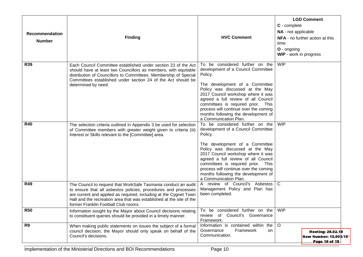| Recommendation<br><b>Number</b> | <b>Finding</b>                                                                                                                                                                                                                                                                                                        | <b>HVC Comment</b>                                                                                                                                                                                                                                                                                                                                                                | <b>LGD Comment</b><br>C - complete<br>NA - not applicable<br>NFA - no further action at this<br>time<br>O - ongoing<br><b>WIP</b> - work in progress |
|---------------------------------|-----------------------------------------------------------------------------------------------------------------------------------------------------------------------------------------------------------------------------------------------------------------------------------------------------------------------|-----------------------------------------------------------------------------------------------------------------------------------------------------------------------------------------------------------------------------------------------------------------------------------------------------------------------------------------------------------------------------------|------------------------------------------------------------------------------------------------------------------------------------------------------|
| <b>R39</b>                      | Each Council Committee established under section 23 of the Act<br>should have at least two Councillors as members, with equitable<br>distribution of Councillors to Committees. Membership of Special<br>Committees established under section 24 of the Act should be<br>determined by need.                          | To be considered further on the<br>development of a Council Committee<br>Policy.<br>The development of a Committee<br>Policy was discussed at the May<br>2017 Council workshop where it was<br>agreed a full review of all Council<br>committees is required prior. This<br>process will continue over the coming<br>months following the development of<br>a Communication Plan. | <b>WIP</b>                                                                                                                                           |
| <b>R40</b>                      | The selection criteria outlined in Appendix 3 be used for selection<br>of Committee members with greater weight given to criteria (iii)<br>Interest or Skills relevant to the [Committee] area.                                                                                                                       | To be considered further on the<br>development of a Council Committee<br>Policy.<br>The development of a Committee<br>Policy was discussed at the May<br>2017 Council workshop where it was<br>agreed a full review of all Council<br>committees is required prior. This<br>process will continue over the coming<br>months following the development of<br>a Communication Plan. | <b>WIP</b>                                                                                                                                           |
| <b>R49</b>                      | The Council to request that WorkSafe Tasmania conduct an audit<br>to ensure that all asbestos policies, procedures and processes<br>are current and applied as required, including at the Cygnet Town<br>Hall and the recreation area that was established at the site of the<br>former Franklin Football Club rooms. | A review of Council's Asbestos<br>Management Policy and Plan has<br>been completed.                                                                                                                                                                                                                                                                                               | $\mathsf{C}$                                                                                                                                         |
| <b>R50</b>                      | Information sought by the Mayor about Council decisions relating<br>to constituent queries should be provided in a timely manner.                                                                                                                                                                                     | To be considered further on the<br>review of Council's Governance<br>Framework.                                                                                                                                                                                                                                                                                                   | WIP                                                                                                                                                  |
| R <sub>9</sub>                  | When making public statements on issues the subject of a formal<br>council decision, the Mayor should only speak on behalf of the<br>Council's decisions.                                                                                                                                                             | Information is contained within the<br>Framework<br>Governance<br>on<br>Communication.                                                                                                                                                                                                                                                                                            | $\circ$<br>Meeting: 28.02.18<br>Item Number: 15.003/18*<br>Page 10 of 19                                                                             |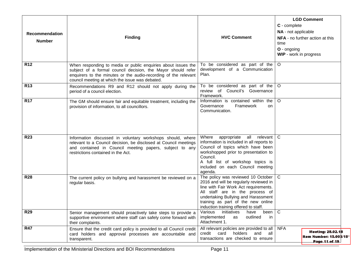| Recommendation<br><b>Number</b> | <b>Finding</b>                                                                                                                                                                                                                                      | <b>HVC Comment</b>                                                                                                                                                                                                                                                            | <b>LGD Comment</b><br>C - complete<br>NA - not applicable<br>NFA - no further action at this<br>time<br>O - ongoing<br>WIP - work in progress |
|---------------------------------|-----------------------------------------------------------------------------------------------------------------------------------------------------------------------------------------------------------------------------------------------------|-------------------------------------------------------------------------------------------------------------------------------------------------------------------------------------------------------------------------------------------------------------------------------|-----------------------------------------------------------------------------------------------------------------------------------------------|
| <b>R12</b>                      | When responding to media or public enquiries about issues the<br>subject of a formal council decision, the Mayor should refer<br>enquirers to the minutes or the audio-recording of the relevant<br>council meeting at which the issue was debated. | To be considered as part of the<br>development of a Communication<br>Plan.                                                                                                                                                                                                    | $\circ$                                                                                                                                       |
| <b>R13</b>                      | Recommendations R9 and R12 should not apply during the<br>period of a council election.                                                                                                                                                             | To be considered as part of the<br>review of Council's Governance<br>Framework.                                                                                                                                                                                               | $\circ$                                                                                                                                       |
| <b>R17</b>                      | The GM should ensure fair and equitable treatment, including the<br>provision of information, to all councillors.                                                                                                                                   | Information is contained within the<br>Governance<br>Framework<br>on<br>Communication.                                                                                                                                                                                        | $\circ$                                                                                                                                       |
| <b>R23</b>                      | Information discussed in voluntary workshops should, where<br>relevant to a Council decision, be disclosed at Council meetings<br>and contained in Council meeting papers, subject to any<br>restrictions contained in the Act.                     | relevant  <br>Where<br>appropriate all<br>information is included in all reports to<br>Council of topics which have been<br>workshopped prior to presentation to<br>Council.<br>A full list of workshop topics is<br>included on each Council meeting<br>agenda.              | C                                                                                                                                             |
| <b>R28</b>                      | The current policy on bullying and harassment be reviewed on a<br>regular basis.                                                                                                                                                                    | The policy was reviewed 10 October<br>2016 and will be regularly reviewed in<br>line with Fair Work Act requirements.<br>All staff are in the process of<br>undertaking Bullying and Harassment<br>training as part of the new online<br>induction training offered to staff. | $\mathsf{C}$                                                                                                                                  |
| <b>R29</b>                      | Senior management should proactively take steps to provide a<br>supportive environment where staff can safely come forward with<br>their complaints.                                                                                                | initiatives<br>Various<br>have<br>been<br>outlined<br>implemented<br>as<br>in.<br>Attachment 1.                                                                                                                                                                               | $\mathsf{C}$                                                                                                                                  |
| <b>R47</b>                      | Ensure that the credit card policy is provided to all Council credit<br>card holders and approval processes are accountable and<br>transparent.                                                                                                     | All relevant policies are provided to all<br>holders<br>and<br>credit<br>card<br>all<br>transactions are checked to ensure                                                                                                                                                    | <b>NFA</b><br>Meeting: 28.02.18<br>Item Number: 15.003/18*<br>Page 11 of 19                                                                   |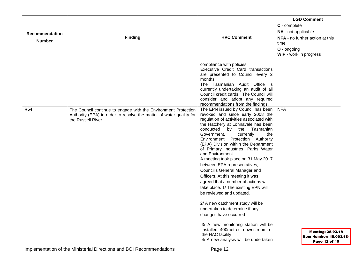| Recommendation<br><b>Number</b> | <b>Finding</b>                                                                                                                                              | <b>HVC Comment</b>                                                                                                                                                                                                                                                                                                                                                                                                                                                                                                                                                                                                                                                                                                           | <b>LGD Comment</b><br>C - complete<br>NA - not applicable<br>NFA - no further action at this<br>time<br>O - ongoing<br>WIP - work in progress |
|---------------------------------|-------------------------------------------------------------------------------------------------------------------------------------------------------------|------------------------------------------------------------------------------------------------------------------------------------------------------------------------------------------------------------------------------------------------------------------------------------------------------------------------------------------------------------------------------------------------------------------------------------------------------------------------------------------------------------------------------------------------------------------------------------------------------------------------------------------------------------------------------------------------------------------------------|-----------------------------------------------------------------------------------------------------------------------------------------------|
|                                 |                                                                                                                                                             | compliance with policies.<br>Executive Credit Card transactions<br>are presented to Council every 2<br>months.<br>The Tasmanian Audit Office is<br>currently undertaking an audit of all<br>Council credit cards. The Council will<br>consider and adopt any required<br>recommendations from the findings.                                                                                                                                                                                                                                                                                                                                                                                                                  |                                                                                                                                               |
| <b>R54</b>                      | The Council continue to engage with the Environment Protection<br>Authority (EPA) in order to resolve the matter of water quality for<br>the Russell River. | The EPN issued by Council has been<br>revoked and since early 2008 the<br>regulation of activities associated with<br>the Hatchery at Lonnavale has been<br>conducted by<br>the<br>Tasmanian<br>Government,<br>currently<br>the<br>Environment Protection Authority<br>(EPA) Division within the Department<br>of Primary Industries, Parks Water<br>and Environment.<br>A meeting took place on 31 May 2017<br>between EPA representatives,<br>Council's General Manager and<br>Officers. At this meeting it was<br>agreed that a number of actions will<br>take place. 1/ The existing EPN will<br>be reviewed and updated.<br>2/ A new catchment study will be<br>undertaken to determine if any<br>changes have occurred | <b>NFA</b>                                                                                                                                    |
|                                 |                                                                                                                                                             | 3/ A new monitoring station will be<br>installed 400metres downstream of<br>the HAC facility<br>4/ A new analysis will be undertaken                                                                                                                                                                                                                                                                                                                                                                                                                                                                                                                                                                                         | Meeting: 28.02.18<br>Item Number: 15.003/18*<br>Page 12 of 19                                                                                 |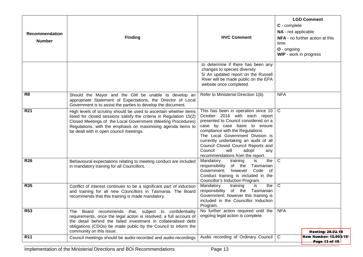| <b>Recommendation</b><br><b>Number</b> | <b>Finding</b>                                                                                                                                                                                                                                                                                                      | <b>HVC Comment</b>                                                                                                                                                                                                                                                                                                                                                         | C - complete<br>NA - not applicable<br>time<br>$O$ - ongoing<br>WIP - work in progress | <b>LGD Comment</b><br>NFA - no further action at this |
|----------------------------------------|---------------------------------------------------------------------------------------------------------------------------------------------------------------------------------------------------------------------------------------------------------------------------------------------------------------------|----------------------------------------------------------------------------------------------------------------------------------------------------------------------------------------------------------------------------------------------------------------------------------------------------------------------------------------------------------------------------|----------------------------------------------------------------------------------------|-------------------------------------------------------|
|                                        |                                                                                                                                                                                                                                                                                                                     | to determine if there has been any<br>changes to species diversity<br>5/ An updated report on the Russell<br>River will be made public on the EPA<br>website once completed.                                                                                                                                                                                               |                                                                                        |                                                       |
| R <sub>8</sub>                         | Should the Mayor and the GM be unable to develop an<br>appropriate Statement of Expectations, the Director of Local<br>Government is to assist the parties to develop the document.                                                                                                                                 | Refer to Ministerial Direction 1(b).                                                                                                                                                                                                                                                                                                                                       | <b>NFA</b>                                                                             |                                                       |
| <b>R21</b>                             | High levels of scrutiny should be used to ascertain whether items<br>listed for closed sessions satisfy the criteria in Regulation 15(2)<br>Closed Meetings of the Local Government (Meeting Procedures)<br>Regulations, with the emphasis on maximising agenda items to<br>be dealt with in open council meetings. | This has been in operation since 10<br>October 2016 with each report<br>presented to Council considered on a<br>case by case basis to ensure<br>compliance with the Regulations.<br>The Local Government Division is<br>currently undertaking an audit of all<br>Council Closed Council Reports and<br>Council<br>will<br>adopt<br>any<br>recommendations from the report. | $\mathsf{C}$                                                                           |                                                       |
| <b>R26</b>                             | Behavioural expectations relating to meeting conduct are included<br>in mandatory training for all Councillors.                                                                                                                                                                                                     | Mandatory<br>is<br>the<br>training<br>Tasmanian<br>responsibility<br>of the<br>Code of<br>Government;<br>however<br>Conduct training is included in the<br>Councillor's Induction Program.                                                                                                                                                                                 | C                                                                                      |                                                       |
| <b>R35</b>                             | Conflict of interest continues to be a significant part of induction<br>and training for all new Councillors in Tasmania. The Board<br>recommends that this training is made mandatory.                                                                                                                             | Mandatory<br>the<br>training<br>is<br>responsibility<br>of the<br>Tasmanian<br>Government; however this training is<br>included in the Councillor Induction<br>Program.                                                                                                                                                                                                    | C                                                                                      |                                                       |
| <b>R53</b>                             | Board recommends that, subject to confidentiality<br>The<br>requirements, once the legal action is resolved, a full account of<br>the detail behind the failed investment in collateralised debt<br>obligations (CDOs) be made public by the Council to inform the<br>community on this issue.                      | No further action required until the<br>ongoing legal action is complete.                                                                                                                                                                                                                                                                                                  | <b>NFA</b>                                                                             | Meeting: 28.02.18                                     |
| <b>R11</b>                             | Council meetings should be audio-recorded and audio-recordings                                                                                                                                                                                                                                                      | Audio recording of Ordinary Council   C                                                                                                                                                                                                                                                                                                                                    |                                                                                        | <b>Item Number: 15.003/18</b><br>Page 13 of 19        |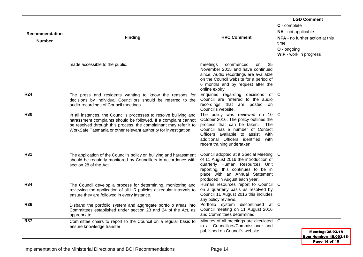| Recommendation<br><b>Number</b> | <b>Finding</b>                                                                                                                                                                                                                                                                | <b>HVC Comment</b>                                                                                                                                                                                                                                               | <b>LGD Comment</b><br>C - complete<br>NA - not applicable<br><b>NFA</b> - no further action at this<br>time<br>O - ongoing<br>WIP - work in progress |
|---------------------------------|-------------------------------------------------------------------------------------------------------------------------------------------------------------------------------------------------------------------------------------------------------------------------------|------------------------------------------------------------------------------------------------------------------------------------------------------------------------------------------------------------------------------------------------------------------|------------------------------------------------------------------------------------------------------------------------------------------------------|
|                                 | made accessible to the public.                                                                                                                                                                                                                                                | 25<br>meetings<br>commenced<br>on<br>November 2015 and have continued<br>since. Audio recordings are available<br>on the Council website for a period of<br>6 months and by request after the<br>online expiry.                                                  |                                                                                                                                                      |
| <b>R24</b>                      | The press and residents wanting to know the reasons for<br>decisions by individual Councillors should be referred to the<br>audio-recordings of Council meetings.                                                                                                             | Enquiries regarding decisions of<br>Council are referred to the audio<br>recordings that are posted on<br>Council's website.                                                                                                                                     | $\mathbf C$                                                                                                                                          |
| <b>R30</b>                      | In all instances, the Council's processes to resolve bullying and<br>harassment complaints should be followed. If a complaint cannot<br>be resolved through this process, the complainant may refer it to<br>WorkSafe Tasmania or other relevant authority for investigation. | The policy was reviewed on 10<br>October 2016. The policy outlines the<br>process that can be taken.<br>The<br>Council has a number of Contact<br>Officers available to assist,<br>with<br>additional Officers identified<br>with<br>recent training undertaken. | $\mathsf{C}$                                                                                                                                         |
| <b>R31</b>                      | The application of the Council's policy on bullying and harassment<br>should be regularly monitored by Councillors in accordance with<br>section 28 of the Act.                                                                                                               | Council adopted at it Special Meeting<br>of 11 August 2016 the introduction of<br>quarterly Human Resources Unit<br>reporting, this continues to be in<br>place with an Annual Statement<br>produced in August each year.                                        | $\mathbf C$                                                                                                                                          |
| <b>R34</b>                      | The Council develop a process for determining, monitoring and<br>reviewing the application of all HR policies at regular intervals to<br>ensure they are followed in every instance.                                                                                          | Human resources report to Council   C<br>on a quarterly basis as resolved by<br>Council 11 August 2016 this includes<br>any policy reviews.                                                                                                                      |                                                                                                                                                      |
| <b>R36</b>                      | Disband the portfolio system and aggregate portfolio areas into<br>Committees established under section 23 and 24 of the Act, as<br>appropriate.                                                                                                                              | Portfolio system discontinued<br>at<br>Council meeting on 11 August 2016<br>and Committees determined.                                                                                                                                                           | $\mathsf{C}$                                                                                                                                         |
| <b>R37</b>                      | Committee chairs to report to the Council on a regular basis to<br>ensure knowledge transfer.                                                                                                                                                                                 | Minutes of all meetings are circulated<br>to all Councillors/Commissioner and<br>published on Council's website.                                                                                                                                                 | $\mathbf C$<br>Meeting: 28.02.18<br>Item Number: 15.003/18*<br>Page 14 of 19                                                                         |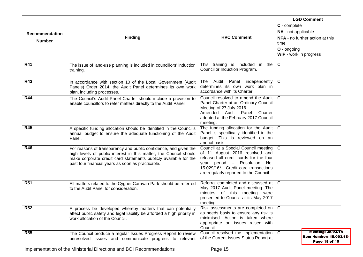| Recommendation<br><b>Number</b> | <b>Finding</b>                                                                                                                                                                                                                                                 | <b>HVC Comment</b>                                                                                                                                                                                                                   | <b>LGD Comment</b><br>C - complete<br>NA - not applicable<br>NFA - no further action at this<br>time<br>O - ongoing<br>WIP - work in progress |
|---------------------------------|----------------------------------------------------------------------------------------------------------------------------------------------------------------------------------------------------------------------------------------------------------------|--------------------------------------------------------------------------------------------------------------------------------------------------------------------------------------------------------------------------------------|-----------------------------------------------------------------------------------------------------------------------------------------------|
| <b>R41</b>                      | The issue of land-use planning is included in councillors' induction<br>training.                                                                                                                                                                              | This training is included in the<br>Councillor Induction Program.                                                                                                                                                                    | $\mathsf{C}$                                                                                                                                  |
| <b>R43</b>                      | In accordance with section 10 of the Local Government (Audit<br>Panels) Order 2014, the Audit Panel determines its own work<br>plan, including processes.                                                                                                      | The Audit Panel independently<br>determines its own work plan in<br>accordance with its Charter.                                                                                                                                     | $\mathbf C$                                                                                                                                   |
| <b>R44</b>                      | The Council's Audit Panel Charter should include a provision to<br>enable councillors to refer matters directly to the Audit Panel.                                                                                                                            | Council resolved to amend the Audit<br>Panel Charter at an Ordinary Council<br>Meeting of 27 July 2016.<br>Amended Audit Panel<br>Charter<br>adopted at the February 2017 Council<br>meeting.                                        | $\mathbf C$                                                                                                                                   |
| <b>R45</b>                      | A specific funding allocation should be identified in the Council's<br>annual budget to ensure the adequate functioning of the Audit<br>Panel.                                                                                                                 | The funding allocation for the Audit $\mid$ C<br>Panel is specifically identified in the<br>budget. This is reviewed on an<br>annual basis.                                                                                          |                                                                                                                                               |
| <b>R46</b>                      | For reasons of transparency and public confidence, and given the<br>high levels of public interest in this matter, the Council should<br>make corporate credit card statements publicly available for the<br>past four financial years as soon as practicable. | Council at a Special Council meeting  <br>of 11 August 2016 resolved and<br>released all credit cards for the four<br>year period - Resolution No.<br>15.029/16*. Credit card transactions<br>are regularly reported to the Council. | $\mathbf C$                                                                                                                                   |
| <b>R51</b>                      | All matters related to the Cygnet Caravan Park should be referred<br>to the Audit Panel for consideration.                                                                                                                                                     | Referral completed and discussed at   C<br>May 2017 Audit Panel meeting. The<br>minutes of this meeting were<br>presented to Council at its May 2017<br>meeting.                                                                     |                                                                                                                                               |
| <b>R52</b>                      | A process be developed whereby matters that can potentially<br>affect public safety and legal liability be afforded a high priority in<br>work allocation of the Council.                                                                                      | Risk assessments are completed on $\vert$ C<br>as needs basis to ensure any risk is<br>minimised. Action is taken where<br>appropriate on issues raised with<br>Council.                                                             |                                                                                                                                               |
| <b>R55</b>                      | The Council produce a regular Issues Progress Report to review<br>unresolved issues and communicate progress to relevant                                                                                                                                       | Council resolved the implementation<br>of the Current Issues Status Report at                                                                                                                                                        | <b>Meeting: 28.02.18</b><br>C.<br>Item Number: 15.003/18*<br>Page 15 of 19                                                                    |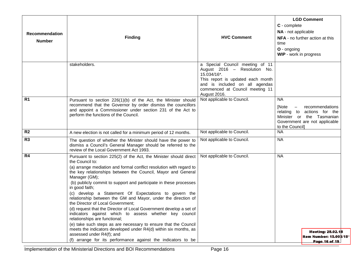| Recommendation<br><b>Number</b> | <b>Finding</b>                                                                                                                                                                                                                                                                                                                                                                                                                                                                                                                                                                                                                                                                                                                                                                                             | <b>HVC Comment</b>                                                                                                                                                                                       | <b>LGD Comment</b><br>C - complete<br>NA - not applicable<br><b>NFA</b> - no further action at this<br>time<br>O - ongoing<br>WIP - work in progress                              |  |
|---------------------------------|------------------------------------------------------------------------------------------------------------------------------------------------------------------------------------------------------------------------------------------------------------------------------------------------------------------------------------------------------------------------------------------------------------------------------------------------------------------------------------------------------------------------------------------------------------------------------------------------------------------------------------------------------------------------------------------------------------------------------------------------------------------------------------------------------------|----------------------------------------------------------------------------------------------------------------------------------------------------------------------------------------------------------|-----------------------------------------------------------------------------------------------------------------------------------------------------------------------------------|--|
|                                 | stakeholders.                                                                                                                                                                                                                                                                                                                                                                                                                                                                                                                                                                                                                                                                                                                                                                                              | a Special Council meeting of 11<br>August 2016 - Resolution No.<br>15.034/16*.<br>This report is updated each month<br>and is included on all agendas<br>commenced at Council meeting 11<br>August 2016. |                                                                                                                                                                                   |  |
| R <sub>1</sub>                  | Pursuant to section 226(1)(b) of the Act, the Minister should<br>recommend that the Governor by order dismiss the councillors<br>and appoint a Commissioner under section 231 of the Act to<br>perform the functions of the Council.                                                                                                                                                                                                                                                                                                                                                                                                                                                                                                                                                                       | Not applicable to Council.                                                                                                                                                                               | <b>NA</b><br>[Note<br>recommendations<br>$\overline{\phantom{m}}$<br>relating to actions for the<br>Minister or the Tasmanian<br>Government are not applicable<br>to the Council] |  |
| R <sub>2</sub>                  | A new election is not called for a minimum period of 12 months.                                                                                                                                                                                                                                                                                                                                                                                                                                                                                                                                                                                                                                                                                                                                            | Not applicable to Council.                                                                                                                                                                               | <b>NA</b>                                                                                                                                                                         |  |
| R <sub>3</sub>                  | The question of whether the Minister should have the power to<br>dismiss a Council's General Manager should be referred to the<br>review of the Local Government Act 1993.                                                                                                                                                                                                                                                                                                                                                                                                                                                                                                                                                                                                                                 | Not applicable to Council.                                                                                                                                                                               | <b>NA</b>                                                                                                                                                                         |  |
| R4                              | Pursuant to section 225(2) of the Act, the Minister should direct<br>the Council to:<br>(a) arrange mediation and formal conflict resolution with regard to<br>the key relationships between the Council, Mayor and General<br>Manager (GM);<br>(b) publicly commit to support and participate in these processes<br>in good faith;<br>(c) develop a Statement Of Expectations to govern the<br>relationship between the GM and Mayor, under the direction of<br>the Director of Local Government;<br>(d) request that the Director of Local Government develop a set of<br>indicators against which to assess whether key council<br>relationships are functional;<br>(e) take such steps as are necessary to ensure that the Council<br>meets the indicators developed under R4(d) within six months, as | Not applicable to Council.                                                                                                                                                                               | <b>NA</b><br><b>Meeting: 28.02.18</b>                                                                                                                                             |  |
|                                 | assessed under R4(f); and<br>(f) arrange for its performance against the indicators to be                                                                                                                                                                                                                                                                                                                                                                                                                                                                                                                                                                                                                                                                                                                  |                                                                                                                                                                                                          | Item Number: 15.003/18*<br>Page 16 of 19                                                                                                                                          |  |

Implementation of the Ministerial Directions and BOI Recommendations Page 16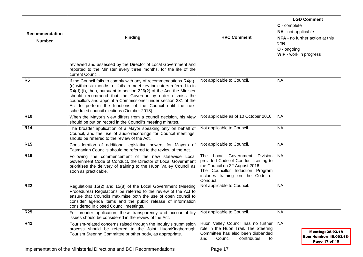| Recommendation<br><b>Number</b> | <b>Finding</b>                                                                                                                                                                                                                                                                                                                                                                                                                                                   | <b>HVC Comment</b>                                                                                                                                                                          | <b>LGD Comment</b><br>C - complete<br>NA - not applicable<br>NFA - no further action at this<br>time<br>O - ongoing<br>WIP - work in progress |
|---------------------------------|------------------------------------------------------------------------------------------------------------------------------------------------------------------------------------------------------------------------------------------------------------------------------------------------------------------------------------------------------------------------------------------------------------------------------------------------------------------|---------------------------------------------------------------------------------------------------------------------------------------------------------------------------------------------|-----------------------------------------------------------------------------------------------------------------------------------------------|
|                                 | reviewed and assessed by the Director of Local Government and<br>reported to the Minister every three months, for the life of the<br>current Council.                                                                                                                                                                                                                                                                                                            |                                                                                                                                                                                             |                                                                                                                                               |
| R <sub>5</sub>                  | If the Council fails to comply with any of recommendations R4(a)-<br>(c) within six months, or fails to meet key indicators referred to in<br>$R4(d)$ -(f), then, pursuant to section 226(2) of the Act, the Minister<br>should recommend that the Governor by order dismiss the<br>councillors and appoint a Commissioner under section 231 of the<br>Act to perform the functions of the Council until the next<br>scheduled council elections (October 2018). | Not applicable to Council.                                                                                                                                                                  | <b>NA</b>                                                                                                                                     |
| <b>R10</b>                      | When the Mayor's view differs from a council decision, his view<br>should be put on record in the Council's meeting minutes.                                                                                                                                                                                                                                                                                                                                     | Not applicable as of 10 October 2016.                                                                                                                                                       | <b>NA</b>                                                                                                                                     |
| <b>R14</b>                      | The broader application of a Mayor speaking only on behalf of<br>Council, and the use of audio-recordings for Council meetings,<br>should be referred to the review of the Act.                                                                                                                                                                                                                                                                                  | Not applicable to Council.                                                                                                                                                                  | <b>NA</b>                                                                                                                                     |
| <b>R15</b>                      | Consideration of additional legislative powers for Mayors of<br>Tasmanian Councils should be referred to the review of the Act.                                                                                                                                                                                                                                                                                                                                  | Not applicable to Council.                                                                                                                                                                  | <b>NA</b>                                                                                                                                     |
| <b>R19</b>                      | Following the commencement of the new statewide Local<br>Government Code of Conduct, the Director of Local Government<br>prioritises the delivery of training to the Huon Valley Council as<br>soon as practicable.                                                                                                                                                                                                                                              | The Local Government Division<br>provided Code of Conduct training to<br>the Council on 22 August 2016.<br>The Councillor Induction Program<br>includes training on the Code of<br>Conduct. | <b>NA</b>                                                                                                                                     |
| <b>R22</b>                      | Regulations 15(2) and 15(8) of the Local Government (Meeting<br>Procedures) Regulations be referred to the review of the Act to<br>ensure that Councils maximise both the use of open council to<br>consider agenda items and the public release of information<br>considered in closed Council meetings.                                                                                                                                                        | Not applicable to Council.                                                                                                                                                                  | <b>NA</b>                                                                                                                                     |
| R <sub>25</sub>                 | For broader application, these transparency and accountability<br>issues should be considered in the review of the Act.                                                                                                                                                                                                                                                                                                                                          | Not applicable to Council.                                                                                                                                                                  | <b>NA</b>                                                                                                                                     |
| <b>R42</b>                      | Tourism-related concerns raised through the Inquiry's submission<br>process should be referred to the Joint Huon/Kingborough<br>Tourism Steering Committee or other body, as appropriate.                                                                                                                                                                                                                                                                        | Huon Valley Council has no further<br>role in the Huon Trail. The Steering<br>Committee has also been disbanded<br>Council<br>contributes<br>and<br>to                                      | <b>NA</b><br><b>Meeting: 28.02.18</b><br>Item Number: 15.003/18*<br>Page 17 of 19                                                             |

Implementation of the Ministerial Directions and BOI Recommendations Page 17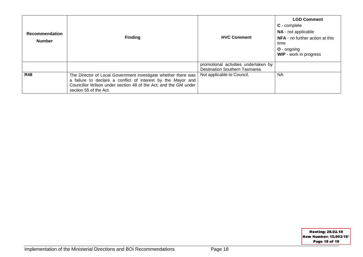| <b>Recommendation</b><br><b>Number</b> | <b>Finding</b>                                                                                                                                                                                                              | <b>HVC Comment</b>                                                     | <b>LGD Comment</b><br>$C$ - complete<br>NA - not applicable<br><b>NFA</b> - no further action at this<br>time<br><b>O</b> - ongoing<br><b>WIP</b> - work in progress |
|----------------------------------------|-----------------------------------------------------------------------------------------------------------------------------------------------------------------------------------------------------------------------------|------------------------------------------------------------------------|----------------------------------------------------------------------------------------------------------------------------------------------------------------------|
|                                        |                                                                                                                                                                                                                             | promotional activities undertaken by<br>Destination Southern Tasmania. |                                                                                                                                                                      |
| <b>R48</b>                             | The Director of Local Government investigate whether there was<br>a failure to declare a conflict of interest by the Mayor and<br>Councillor Wilson under section 48 of the Act; and the GM under<br>section 55 of the Act. | Not applicable to Council.                                             | <b>NA</b>                                                                                                                                                            |